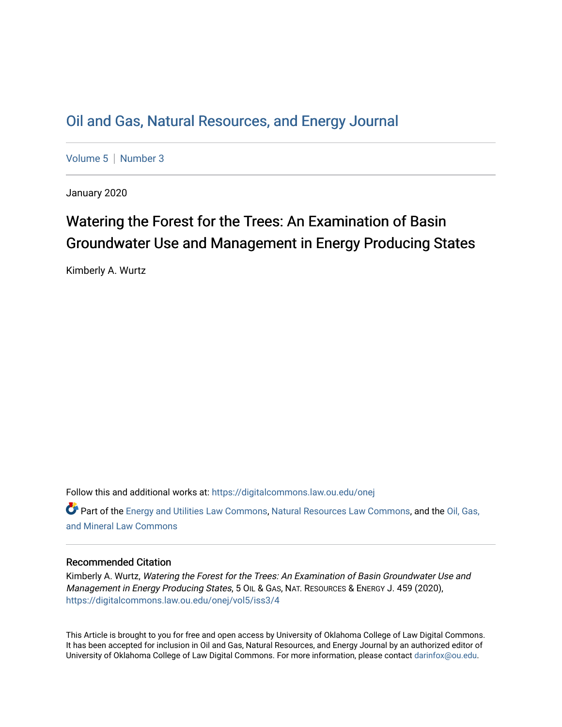# [Oil and Gas, Natural Resources, and Energy Journal](https://digitalcommons.law.ou.edu/onej)

[Volume 5](https://digitalcommons.law.ou.edu/onej/vol5) | [Number 3](https://digitalcommons.law.ou.edu/onej/vol5/iss3)

January 2020

# Watering the Forest for the Trees: An Examination of Basin Groundwater Use and Management in Energy Producing States

Kimberly A. Wurtz

Follow this and additional works at: [https://digitalcommons.law.ou.edu/onej](https://digitalcommons.law.ou.edu/onej?utm_source=digitalcommons.law.ou.edu%2Fonej%2Fvol5%2Fiss3%2F4&utm_medium=PDF&utm_campaign=PDFCoverPages) 

 $\bullet$  Part of the [Energy and Utilities Law Commons,](http://network.bepress.com/hgg/discipline/891?utm_source=digitalcommons.law.ou.edu%2Fonej%2Fvol5%2Fiss3%2F4&utm_medium=PDF&utm_campaign=PDFCoverPages) [Natural Resources Law Commons](http://network.bepress.com/hgg/discipline/863?utm_source=digitalcommons.law.ou.edu%2Fonej%2Fvol5%2Fiss3%2F4&utm_medium=PDF&utm_campaign=PDFCoverPages), and the Oil, Gas, [and Mineral Law Commons](http://network.bepress.com/hgg/discipline/864?utm_source=digitalcommons.law.ou.edu%2Fonej%2Fvol5%2Fiss3%2F4&utm_medium=PDF&utm_campaign=PDFCoverPages) 

# Recommended Citation

Kimberly A. Wurtz, Watering the Forest for the Trees: An Examination of Basin Groundwater Use and Management in Energy Producing States, 5 OIL & GAS, NAT. RESOURCES & ENERGY J. 459 (2020), [https://digitalcommons.law.ou.edu/onej/vol5/iss3/4](https://digitalcommons.law.ou.edu/onej/vol5/iss3/4?utm_source=digitalcommons.law.ou.edu%2Fonej%2Fvol5%2Fiss3%2F4&utm_medium=PDF&utm_campaign=PDFCoverPages) 

This Article is brought to you for free and open access by University of Oklahoma College of Law Digital Commons. It has been accepted for inclusion in Oil and Gas, Natural Resources, and Energy Journal by an authorized editor of University of Oklahoma College of Law Digital Commons. For more information, please contact [darinfox@ou.edu.](mailto:darinfox@ou.edu)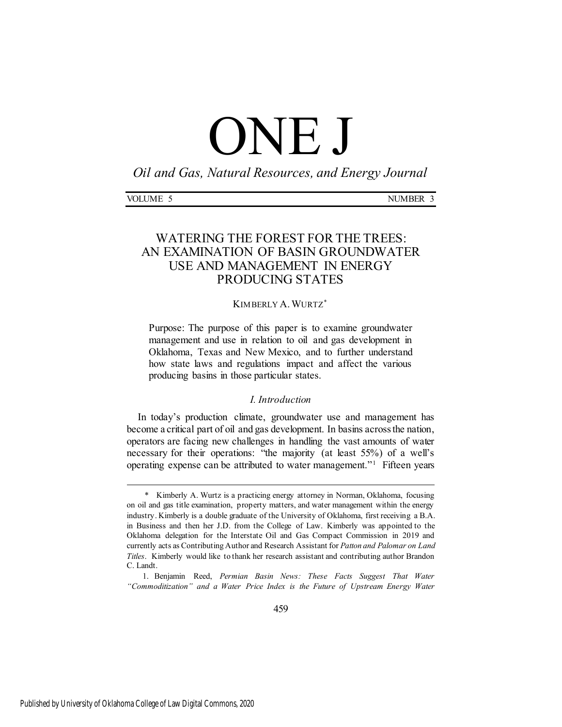# ONE J

*Oil and Gas, Natural Resources, and Energy Journal*

| VOLUME<br>ັ | <b>NUMBER</b><br>N. | $\overline{\phantom{a}}$<br>. . |
|-------------|---------------------|---------------------------------|
|             |                     |                                 |

# WATERING THE FOREST FOR THE TREES: AN EXAMINATION OF BASIN GROUNDWATER USE AND MANAGEMENT IN ENERGY PRODUCING STATES

## KIMBERLY A.WURTZ

Purpose: The purpose of this paper is to examine groundwater management and use in relation to oil and gas development in Oklahoma, Texas and New Mexico, and to further understand how state laws and regulations impact and affect the various producing basins in those particular states.

## *I. Introduction*

In today's production climate, groundwater use and management has become a critical part of oil and gas development. In basins across the nation, operators are facing new challenges in handling the vast amounts of water necessary for their operations: "the majority (at least 55%) of a well's operating expense can be attributed to water management."<sup>1</sup> Fifteen years

1. Benjamin Reed, *Permian Basin News: These Facts Suggest That Water "Commoditization" and a Water Price Index is the Future of Upstream Energy Water* 

<sup>\*</sup> Kimberly A. Wurtz is a practicing energy attorney in Norman, Oklahoma, focusing on oil and gas title examination, property matters, and water management within the energy industry. Kimberly is a double graduate of the University of Oklahoma, first receiving a B.A. in Business and then her J.D. from the College of Law. Kimberly was appointed to the Oklahoma delegation for the Interstate Oil and Gas Compact Commission in 2019 and currently acts as Contributing Author and Research Assistant for *Patton and Palomar on Land Titles*. Kimberly would like to thank her research assistant and contributing author Brandon C. Landt.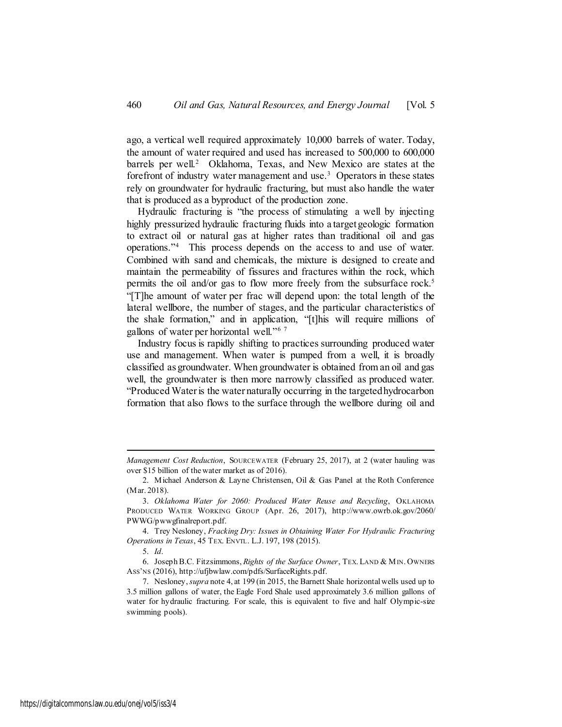ago, a vertical well required approximately 10,000 barrels of water. Today, the amount of water required and used has increased to 500,000 to 600,000 barrels per well.<sup>2</sup> Oklahoma, Texas, and New Mexico are states at the forefront of industry water management and use.<sup>3</sup> Operators in these states rely on groundwater for hydraulic fracturing, but must also handle the water that is produced as a byproduct of the production zone.

Hydraulic fracturing is "the process of stimulating a well by injecting highly pressurized hydraulic fracturing fluids into a target geologic formation to extract oil or natural gas at higher rates than traditional oil and gas operations."<sup>4</sup> This process depends on the access to and use of water. Combined with sand and chemicals, the mixture is designed to create and maintain the permeability of fissures and fractures within the rock, which permits the oil and/or gas to flow more freely from the subsurface rock.<sup>5</sup> "[T]he amount of water per frac will depend upon: the total length of the lateral wellbore, the number of stages, and the particular characteristics of the shale formation," and in application, "[t]his will require millions of gallons of water per horizontal well."<sup>6</sup> <sup>7</sup>

Industry focus is rapidly shifting to practices surrounding produced water use and management. When water is pumped from a well, it is broadly classified as groundwater. When groundwater is obtained from an oil and gas well, the groundwater is then more narrowly classified as produced water. "Produced Water is the water naturally occurring in the targeted hydrocarbon formation that also flows to the surface through the wellbore during oil and

*Management Cost Reduction*, SOURCEWATER (February 25, 2017), at 2 (water hauling was over \$15 billion of the water market as of 2016).

<sup>2.</sup> Michael Anderson & Layne Christensen, Oil & Gas Panel at the Roth Conference (Mar. 2018).

<sup>3.</sup> *Oklahoma Water for 2060: Produced Water Reuse and Recycling*, OKLAHOMA PRODUCED WATER WORKING GROUP (Apr. 26, 2017), http://www.owrb.ok.gov/2060/ PWWG/pwwgfinalreport.pdf.

<sup>4.</sup> Trey Nesloney, *Fracking Dry: Issues in Obtaining Water For Hydraulic Fracturing Operations in Texas*, 45 TEX. ENVTL. L.J. 197, 198 (2015).

<sup>5.</sup> *Id*.

<sup>6.</sup> Joseph B.C. Fitzsimmons, *Rights of the Surface Owner*, TEX. LAND & MIN. OWNERS ASS'NS (2016), http://ufjbwlaw.com/pdfs/SurfaceRights.pdf.

<sup>7.</sup> Nesloney, *supra* note 4, at 199 (in 2015, the Barnett Shale horizontal wells used up to 3.5 million gallons of water, the Eagle Ford Shale used approximately 3.6 million gallons of water for hydraulic fracturing. For scale, this is equivalent to five and half Olympic-size swimming pools).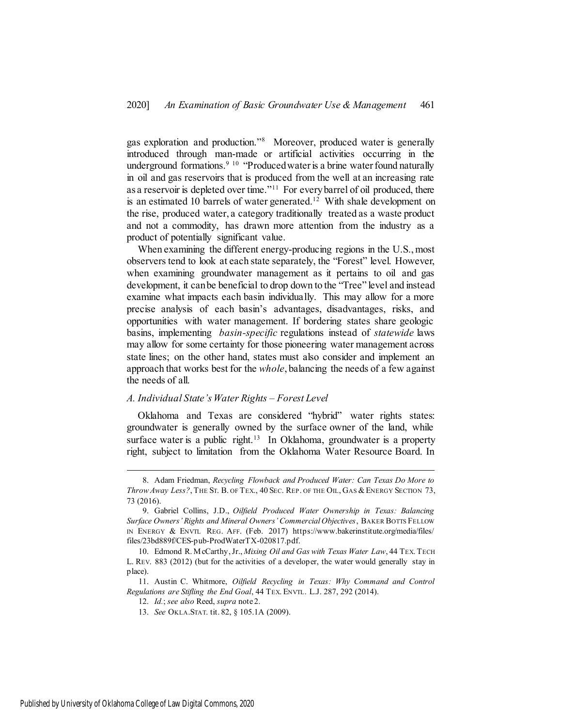gas exploration and production."<sup>8</sup> Moreover, produced water is generally introduced through man-made or artificial activities occurring in the underground formations.<sup>9 10</sup> "Produced water is a brine water found naturally in oil and gas reservoirs that is produced from the well at an increasing rate as a reservoir is depleted over time."<sup>11</sup> For every barrel of oil produced, there is an estimated 10 barrels of water generated.<sup>12</sup> With shale development on the rise, produced water, a category traditionally treated as a waste product and not a commodity, has drawn more attention from the industry as a product of potentially significant value.

When examining the different energy-producing regions in the U.S., most observers tend to look at each state separately, the "Forest" level. However, when examining groundwater management as it pertains to oil and gas development, it can be beneficial to drop down to the "Tree" level and instead examine what impacts each basin individually. This may allow for a more precise analysis of each basin's advantages, disadvantages, risks, and opportunities with water management. If bordering states share geologic basins, implementing *basin-specific* regulations instead of *statewide* laws may allow for some certainty for those pioneering water management across state lines; on the other hand, states must also consider and implement an approach that works best for the *whole*, balancing the needs of a few against the needs of all.

#### *A. Individual State's Water Rights – Forest Level*

Oklahoma and Texas are considered "hybrid" water rights states: groundwater is generally owned by the surface owner of the land, while surface water is a public right.<sup>13</sup> In Oklahoma, groundwater is a property right, subject to limitation from the Oklahoma Water Resource Board. In

j

<sup>8.</sup> Adam Friedman, *Recycling Flowback and Produced Water: Can Texas Do More to Throw Away Less?*, THE ST. B. OF TEX., 40 SEC. REP. OF THE OIL, GAS & ENERGY SECTION 73, 73 (2016).

<sup>9.</sup> Gabriel Collins, J.D., *Oilfield Produced Water Ownership in Texas: Balancing Surface Owners' Rights and Mineral Owners' Commercial Objectives*, BAKER BOTTS FELLOW IN ENERGY & ENVTL REG. AFF. (Feb. 2017) https://www.bakerinstitute.org/media/files/ files/23bd889f/CES-pub-ProdWaterTX-020817.pdf.

<sup>10.</sup> Edmond R. McCarthy, Jr., *Mixing Oil and Gas with Texas Water Law*, 44 TEX. TECH L. REV. 883 (2012) (but for the activities of a developer, the water would generally stay in place).

<sup>11.</sup> Austin C. Whitmore, *Oilfield Recycling in Texas: Why Command and Control Regulations are Stifling the End Goal*, 44 TEX. ENVTL. L.J. 287, 292 (2014).

<sup>12.</sup> *Id.*; *see also* Reed, *supra* note 2.

<sup>13.</sup> *See* OKLA.STAT. tit. 82, § 105.1A (2009).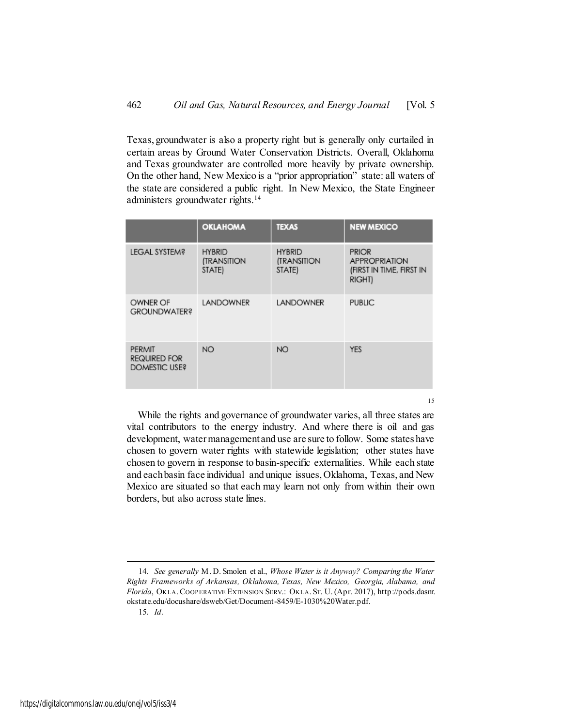Texas, groundwater is also a property right but is generally only curtailed in certain areas by Ground Water Conservation Districts. Overall, Oklahoma and Texas groundwater are controlled more heavily by private ownership. On the other hand, New Mexico is a "prior appropriation" state: all waters of the state are considered a public right. In New Mexico, the State Engineer administers groundwater rights.<sup>14</sup>

|                                                | <b>OKLAHOMA</b>                        | <b>TEXAS</b>                                         | <b>NEW MEXICO</b>                                                          |
|------------------------------------------------|----------------------------------------|------------------------------------------------------|----------------------------------------------------------------------------|
| <b>LEGAL SYSTEM?</b>                           | <b>HYBRID</b><br>(TRANSITION<br>STATE) | <b>HYBRID</b><br><b><i>(TRANSITION</i></b><br>STATE) | <b>PRIOR</b><br><b>APPROPRIATION</b><br>(FIRST IN TIME, FIRST IN<br>RIGHT) |
| OWNER OF<br><b>GROUNDWATER?</b>                | <b>LANDOWNER</b>                       | <b>LANDOWNER</b>                                     | <b>PUBLIC</b>                                                              |
| PERMIT<br><b>REQUIRED FOR</b><br>DOMESTIC USE? | <b>NO</b>                              | <b>NO</b>                                            | <b>YES</b>                                                                 |

While the rights and governance of groundwater varies, all three states are vital contributors to the energy industry. And where there is oil and gas development, water management and use are sure to follow. Some states have chosen to govern water rights with statewide legislation; other states have chosen to govern in response to basin-specific externalities. While each state and each basin face individual and unique issues, Oklahoma, Texas, and New Mexico are situated so that each may learn not only from within their own borders, but also across state lines.

15

15. *Id*.

<sup>14.</sup> *See generally* M. D. Smolen et al., *Whose Water is it Anyway? Comparing the Water Rights Frameworks of Arkansas, Oklahoma, Texas, New Mexico, Georgia, Alabama, and Florida*, OKLA. COOPERATIVE EXTENSION SERV.: OKLA. ST. U. (Apr. 2017), http://pods.dasnr. okstate.edu/docushare/dsweb/Get/Document-8459/E-1030%20Water.pdf.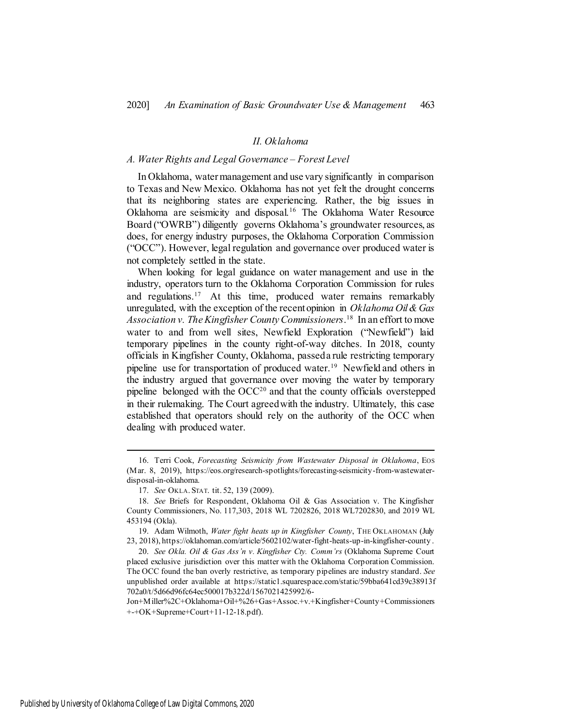#### *II. Oklahoma*

#### *A. Water Rights and Legal Governance – Forest Level*

In Oklahoma, water management and use vary significantly in comparison to Texas and New Mexico. Oklahoma has not yet felt the drought concerns that its neighboring states are experiencing. Rather, the big issues in Oklahoma are seismicity and disposal.<sup>16</sup> The Oklahoma Water Resource Board ("OWRB") diligently governs Oklahoma's groundwater resources, as does, for energy industry purposes, the Oklahoma Corporation Commission ("OCC"). However, legal regulation and governance over produced water is not completely settled in the state.

When looking for legal guidance on water management and use in the industry, operators turn to the Oklahoma Corporation Commission for rules and regulations.<sup>17</sup> At this time, produced water remains remarkably unregulated, with the exception of the recent opinion in *Oklahoma Oil & Gas Association v. The Kingfisher County Commissioners*. 18 In an effort to move water to and from well sites, Newfield Exploration ("Newfield") laid temporary pipelines in the county right-of-way ditches. In 2018, county officials in Kingfisher County, Oklahoma, passed a rule restricting temporary pipeline use for transportation of produced water.<sup>19</sup> Newfield and others in the industry argued that governance over moving the water by temporary pipeline belonged with the  $OCC<sup>20</sup>$  and that the county officials overstepped in their rulemaking. The Court agreed with the industry. Ultimately, this case established that operators should rely on the authority of the OCC when dealing with produced water.

Jon+Miller%2C+Oklahoma+Oil+%26+Gas+Assoc.+v.+Kingfisher+County+Commissioners +-+OK+Supreme+Court+11-12-18.pdf).

<sup>16.</sup> Terri Cook, *Forecasting Seismicity from Wastewater Disposal in Oklahoma*, Eos (Mar. 8, 2019), https://eos.org/research-spotlights/forecasting-seismicity-from-wastewaterdisposal-in-oklahoma.

<sup>17.</sup> *See* OKLA. STAT. tit. 52, 139 (2009).

<sup>18.</sup> *See* Briefs for Respondent, Oklahoma Oil & Gas Association v. The Kingfisher County Commissioners, No. 117,303, 2018 WL 7202826, 2018 WL7202830, and 2019 WL 453194 (Okla).

<sup>19.</sup> Adam Wilmoth, *Water fight heats up in Kingfisher County*, THE OKLAHOMAN (July 23, 2018), <https://oklahoman.com/article/5602102/water-fight-heats-up-in-kingfisher-county> .

<sup>20.</sup> *See Okla. Oil & Gas Ass'n v. Kingfisher Cty. Comm'rs* (Oklahoma Supreme Court placed exclusive jurisdiction over this matter with the Oklahoma Corporation Commission. The OCC found the ban overly restrictive, as temporary pipelines are industry standard. *See* unpublished order available at https://static1.squarespace.com/static/59bba641cd39c38913f 702a0/t/5d66d96fc64ec500017b322d/1567021425992/6-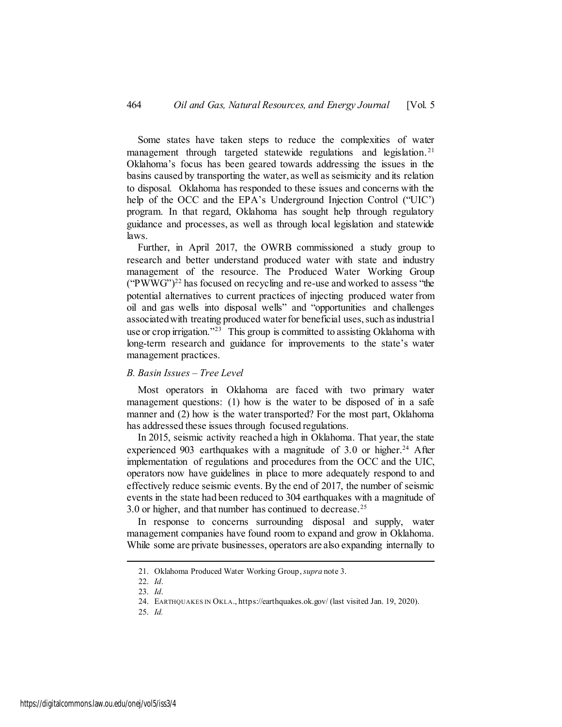Some states have taken steps to reduce the complexities of water management through targeted statewide regulations and legislation.<sup>21</sup> Oklahoma's focus has been geared towards addressing the issues in the basins caused by transporting the water, as well as seismicity and its relation to disposal. Oklahoma has responded to these issues and concerns with the help of the OCC and the EPA's Underground Injection Control ("UIC') program. In that regard, Oklahoma has sought help through regulatory guidance and processes, as well as through local legislation and statewide laws.

Further, in April 2017, the OWRB commissioned a study group to research and better understand produced water with state and industry management of the resource. The Produced Water Working Group  $(^{\circ}$ PWWG" $)^{22}$  has focused on recycling and re-use and worked to assess "the potential alternatives to current practices of injecting produced water from oil and gas wells into disposal wells" and "opportunities and challenges associated with treating produced water for beneficial uses, such as industrial use or crop irrigation."<sup>23</sup> This group is committed to assisting Oklahoma with long-term research and guidance for improvements to the state's water management practices.

#### *B. Basin Issues – Tree Level*

Most operators in Oklahoma are faced with two primary water management questions: (1) how is the water to be disposed of in a safe manner and (2) how is the water transported? For the most part, Oklahoma has addressed these issues through focused regulations.

In 2015, seismic activity reached a high in Oklahoma. That year, the state experienced 903 earthquakes with a magnitude of  $3.0$  or higher.<sup>24</sup> After implementation of regulations and procedures from the OCC and the UIC, operators now have guidelines in place to more adequately respond to and effectively reduce seismic events. By the end of 2017, the number of seismic events in the state had been reduced to 304 earthquakes with a magnitude of 3.0 or higher, and that number has continued to decrease.<sup>25</sup>

In response to concerns surrounding disposal and supply, water management companies have found room to expand and grow in Oklahoma. While some are private businesses, operators are also expanding internally to

<sup>21.</sup> Oklahoma Produced Water Working Group, *supra* note 3.

<sup>22.</sup> *Id*.

<sup>23.</sup> *Id*.

<sup>24.</sup> EARTHQUAKES IN OKLA., https://earthquakes.ok.gov/ (last visited Jan. 19, 2020).

<sup>25.</sup> *Id.*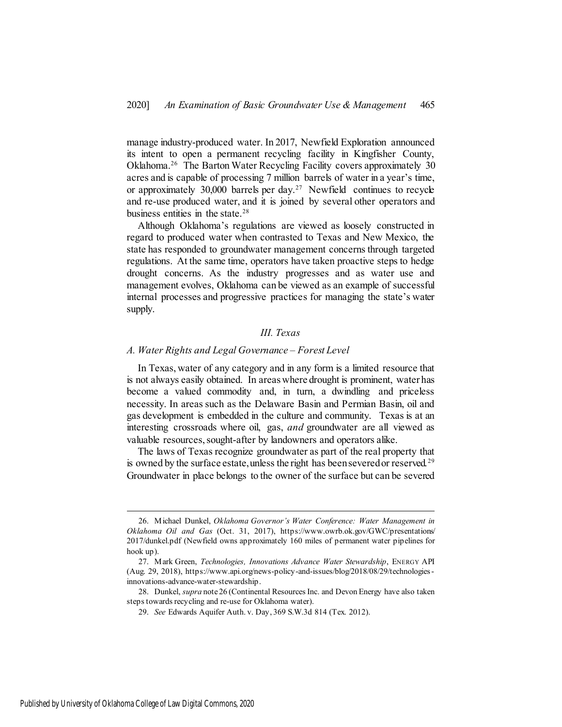manage industry-produced water. In 2017, Newfield Exploration announced its intent to open a permanent recycling facility in Kingfisher County, Oklahoma.<sup>26</sup> The Barton Water Recycling Facility covers approximately 30 acres and is capable of processing 7 million barrels of water in a year's time, or approximately 30,000 barrels per day.<sup>27</sup> Newfield continues to recycle and re-use produced water, and it is joined by several other operators and business entities in the state.<sup>28</sup>

Although Oklahoma's regulations are viewed as loosely constructed in regard to produced water when contrasted to Texas and New Mexico, the state has responded to groundwater management concerns through targeted regulations. At the same time, operators have taken proactive steps to hedge drought concerns. As the industry progresses and as water use and management evolves, Oklahoma can be viewed as an example of successful internal processes and progressive practices for managing the state's water supply.

#### *III. Texas*

#### *A. Water Rights and Legal Governance – Forest Level*

In Texas, water of any category and in any form is a limited resource that is not always easily obtained. In areas where drought is prominent, water has become a valued commodity and, in turn, a dwindling and priceless necessity. In areas such as the Delaware Basin and Permian Basin, oil and gas development is embedded in the culture and community. Texas is at an interesting crossroads where oil, gas, *and* groundwater are all viewed as valuable resources, sought-after by landowners and operators alike.

The laws of Texas recognize groundwater as part of the real property that is owned by the surface estate, unless the right has been severed or reserved.<sup>29</sup> Groundwater in place belongs to the owner of the surface but can be severed

<sup>26.</sup> Michael Dunkel, *Oklahoma Governor's Water Conference: Water Management in Oklahoma Oil and Gas* (Oct. 31, 2017), https://www.owrb.ok.gov/GWC/presentations/ 2017/dunkel.pdf (Newfield owns approximately 160 miles of permanent water pipelines for hook up).

<sup>27.</sup> Mark Green, *Technologies, Innovations Advance Water Stewardship*, ENERGY API (Aug. 29, 2018), [https://www.api.org/news-policy-and-issues/blog/2018/08/29/technologies](https://www.api.org/news-policy-and-issues/blog/2018/08/29/technologies-innovations-advance-water-stewardship)[innovations-advance-water-stewardship.](https://www.api.org/news-policy-and-issues/blog/2018/08/29/technologies-innovations-advance-water-stewardship)

<sup>28.</sup> Dunkel, *supra* note 26 (Continental Resources Inc. and Devon Energy have also taken steps towards recycling and re-use for Oklahoma water).

<sup>29.</sup> *See* Edwards Aquifer Auth. v. Day, 369 S.W.3d 814 (Tex. 2012).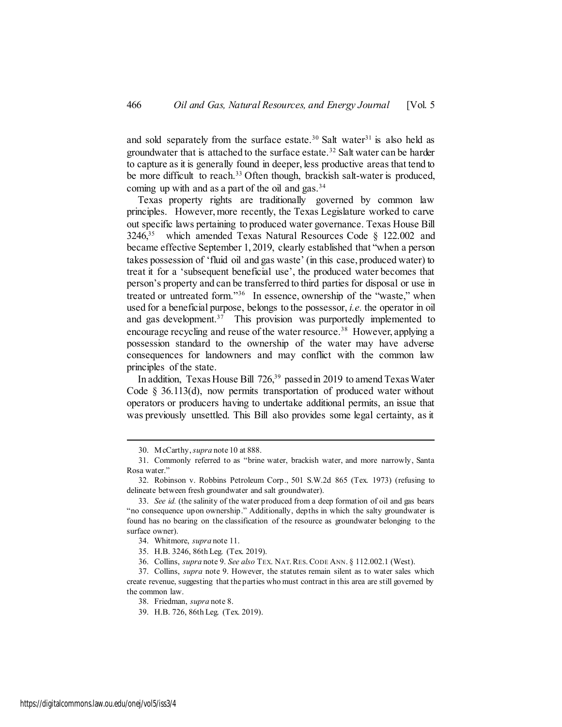and sold separately from the surface estate.<sup>30</sup> Salt water<sup>31</sup> is also held as groundwater that is attached to the surface estate.<sup>32</sup> Salt water can be harder to capture as it is generally found in deeper, less productive areas that tend to be more difficult to reach.<sup>33</sup> Often though, brackish salt-water is produced, coming up with and as a part of the oil and gas.  $34$ 

Texas property rights are traditionally governed by common law principles. However, more recently, the Texas Legislature worked to carve out specific laws pertaining to produced water governance. Texas House Bill  $3246$ <sup>35</sup> which amended Texas Natural Resources Code § 122.002 and became effective September 1, 2019, clearly established that "when a person takes possession of 'fluid oil and gas waste' (in this case, produced water) to treat it for a 'subsequent beneficial use', the produced water becomes that person's property and can be transferred to third parties for disposal or use in treated or untreated form."<sup>36</sup> In essence, ownership of the "waste," when used for a beneficial purpose, belongs to the possessor, *i.e.* the operator in oil and gas development.<sup>37</sup> This provision was purportedly implemented to encourage recycling and reuse of the water resource.<sup>38</sup> However, applying a possession standard to the ownership of the water may have adverse consequences for landowners and may conflict with the common law principles of the state.

In addition, Texas House Bill 726,<sup>39</sup> passed in 2019 to amend Texas Water Code § 36.113(d), now permits transportation of produced water without operators or producers having to undertake additional permits, an issue that was previously unsettled. This Bill also provides some legal certainty, as it

<sup>30.</sup> McCarthy, *supra* note 10 at 888.

<sup>31.</sup> Commonly referred to as "brine water, brackish water, and more narrowly, Santa Rosa water."

<sup>32.</sup> Robinson v. Robbins Petroleum Corp., 501 S.W.2d 865 (Tex. 1973) (refusing to delineate between fresh groundwater and salt groundwater).

<sup>33.</sup> *See id.* (the salinity of the water produced from a deep formation of oil and gas bears "no consequence upon ownership." Additionally, depths in which the salty groundwater is found has no bearing on the classification of the resource as groundwater belonging to the surface owner).

<sup>34.</sup> Whitmore, *supra* note 11.

<sup>35.</sup> H.B. 3246, 86th Leg. (Tex. 2019).

<sup>36.</sup> Collins, *supra* note 9. *See also* TEX. NAT.RES.CODE ANN. § 112.002.1 (West).

<sup>37.</sup> Collins, *supra* note 9. However, the statutes remain silent as to water sales which create revenue, suggesting that the parties who must contract in this area are still governed by the common law.

<sup>38.</sup> Friedman, *supra* note 8.

<sup>39.</sup> H.B. 726, 86th Leg. (Tex. 2019).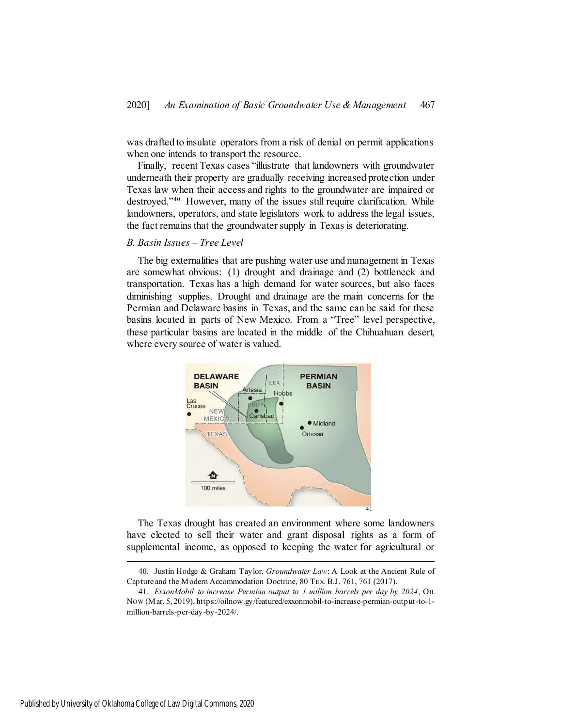was drafted to insulate operators from a risk of denial on permit applications when one intends to transport the resource.

Finally, recent Texas cases "illustrate that landowners with groundwater underneath their property are gradually receiving increased protection under Texas law when their access and rights to the groundwater are impaired or destroyed."<sup>40</sup> However, many of the issues still require clarification. While landowners, operators, and state legislators work to address the legal issues, the fact remains that the groundwater supply in Texas is deteriorating.

#### *B. Basin Issues – Tree Level*

The big externalities that are pushing water use and management in Texas are somewhat obvious: (1) drought and drainage and (2) bottleneck and transportation. Texas has a high demand for water sources, but also faces diminishing supplies. Drought and drainage are the main concerns for the Permian and Delaware basins in Texas, and the same can be said for these basins located in parts of New Mexico. From a "Tree" level perspective, these particular basins are located in the middle of the Chihuahuan desert, where every source of water is valued.



The Texas drought has created an environment where some landowners have elected to sell their water and grant disposal rights as a form of supplemental income, as opposed to keeping the water for agricultural or

<sup>40.</sup> Justin Hodge & Graham Taylor, *Groundwater Law*: A Look at the Ancient Rule of Capture and the Modern Accommodation Doctrine, 80 TEX.B.J. 761, 761 (2017).

<sup>41.</sup> *ExxonMobil to increase Permian output to 1 million barrels per day by 2024*, OIL NOW (Mar. 5, 2019)[, https://oilnow.gy/featured/exxonmobil-to-increase-permian-output-to-1](https://oilnow.gy/featured/exxonmobil-to-increase-permian-output-to-1-million-barrels-per-day-by-2024/) [million-barrels-per-day-by-2024/.](https://oilnow.gy/featured/exxonmobil-to-increase-permian-output-to-1-million-barrels-per-day-by-2024/)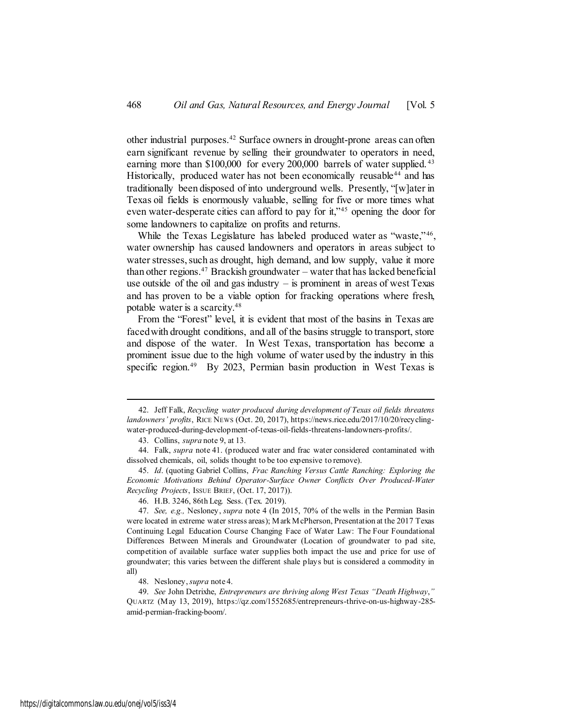other industrial purposes.<sup>42</sup> Surface owners in drought-prone areas can often earn significant revenue by selling their groundwater to operators in need, earning more than \$100,000 for every 200,000 barrels of water supplied.<sup>43</sup> Historically, produced water has not been economically reusable<sup>44</sup> and has traditionally been disposed of into underground wells. Presently, "[w]ater in Texas oil fields is enormously valuable, selling for five or more times what even water-desperate cities can afford to pay for it,"<sup>45</sup> opening the door for some landowners to capitalize on profits and returns.

While the Texas Legislature has labeled produced water as "waste,"<sup>46</sup>, water ownership has caused landowners and operators in areas subject to water stresses, such as drought, high demand, and low supply, value it more than other regions. <sup>47</sup> Brackish groundwater – water that has lacked beneficial use outside of the oil and gas industry  $-$  is prominent in areas of west Texas and has proven to be a viable option for fracking operations where fresh, potable water is a scarcity.<sup>48</sup>

From the "Forest" level, it is evident that most of the basins in Texas are faced with drought conditions, and all of the basins struggle to transport, store and dispose of the water. In West Texas, transportation has become a prominent issue due to the high volume of water used by the industry in this specific region.<sup>49</sup> By 2023, Permian basin production in West Texas is

<sup>42.</sup> Jeff Falk, *Recycling water produced during development of Texas oil fields threatens landowners' profits*, RICE NEWS (Oct. 20, 2017), https://news.rice.edu/2017/10/20/recyclingwater-produced-during-development-of-texas-oil-fields-threatens-landowners-profits/.

<sup>43.</sup> Collins, *supra* note 9, at 13.

<sup>44.</sup> Falk, *supra* note 41. (produced water and frac water considered contaminated with dissolved chemicals, oil, solids thought to be too expensive to remove).

<sup>45.</sup> *Id*. (quoting Gabriel Collins, *Frac Ranching Versus Cattle Ranching: Exploring the Economic Motivations Behind Operator-Surface Owner Conflicts Over Produced-Water Recycling Projects*, ISSUE BRIEF, (Oct. 17, 2017)).

<sup>46.</sup> H.B. 3246, 86th Leg. Sess. (Tex. 2019).

<sup>47.</sup> *See, e.g.,* Nesloney, *supra* note 4 (In 2015, 70% of the wells in the Permian Basin were located in extreme water stress areas); Mark McPherson, Presentation at the 2017 Texas Continuing Legal Education Course Changing Face of Water Law: The Four Foundational Differences Between Minerals and Groundwater (Location of groundwater to pad site, competition of available surface water supplies both impact the use and price for use of groundwater; this varies between the different shale plays but is considered a commodity in all)

<sup>48.</sup> Nesloney, *supra* note 4.

<sup>49.</sup> *See* John Detrixhe, *Entrepreneurs are thriving along West Texas "Death Highway*,*"* QUARTZ (May 13, 2019), https://qz.com/1552685/entrepreneurs-thrive-on-us-highway-285 amid-permian-fracking-boom/.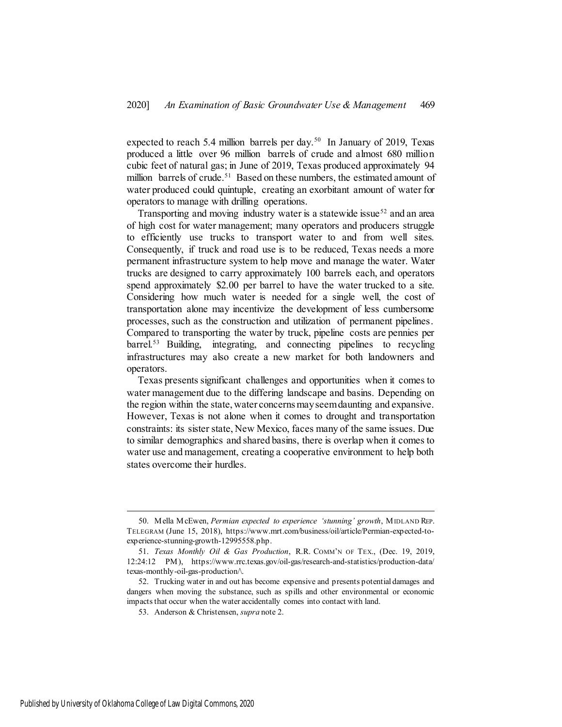expected to reach 5.4 million barrels per day.<sup>50</sup> In January of 2019, Texas produced a little over 96 million barrels of crude and almost 680 million cubic feet of natural gas; in June of 2019, Texas produced approximately 94 million barrels of crude.<sup>51</sup> Based on these numbers, the estimated amount of water produced could quintuple, creating an exorbitant amount of water for operators to manage with drilling operations.

Transporting and moving industry water is a statewide issue<sup>52</sup> and an area of high cost for water management; many operators and producers struggle to efficiently use trucks to transport water to and from well sites. Consequently, if truck and road use is to be reduced, Texas needs a more permanent infrastructure system to help move and manage the water. Water trucks are designed to carry approximately 100 barrels each, and operators spend approximately \$2.00 per barrel to have the water trucked to a site. Considering how much water is needed for a single well, the cost of transportation alone may incentivize the development of less cumbersome processes, such as the construction and utilization of permanent pipelines. Compared to transporting the water by truck, pipeline costs are pennies per barrel.<sup>53</sup> Building, integrating, and connecting pipelines to recycling infrastructures may also create a new market for both landowners and operators.

Texas presents significant challenges and opportunities when it comes to water management due to the differing landscape and basins. Depending on the region within the state, water concerns may seem daunting and expansive. However, Texas is not alone when it comes to drought and transportation constraints: its sister state, New Mexico, faces many of the same issues. Due to similar demographics and shared basins, there is overlap when it comes to water use and management, creating a cooperative environment to help both states overcome their hurdles.

<sup>50.</sup> Mella McEwen, *Permian expected to experience 'stunning' growth*, MIDLAND REP. TELEGRAM (June 15, 2018), https://www.mrt.com/business/oil/article/Permian-expected-toexperience-stunning-growth-12995558.php.

<sup>51.</sup> *Texas Monthly Oil & Gas Production*, R.R. COMM'N OF TEX., (Dec. 19, 2019, 12:24:12 PM), https://www.rrc.texas.gov/oil-gas/research-and-statistics/production-data/ texas-monthly-oil-gas-production/\.

<sup>52.</sup> Trucking water in and out has become expensive and presents potential damages and dangers when moving the substance, such as spills and other environmental or economic impacts that occur when the water accidentally comes into contact with land.

<sup>53.</sup> Anderson & Christensen, *supra* note 2.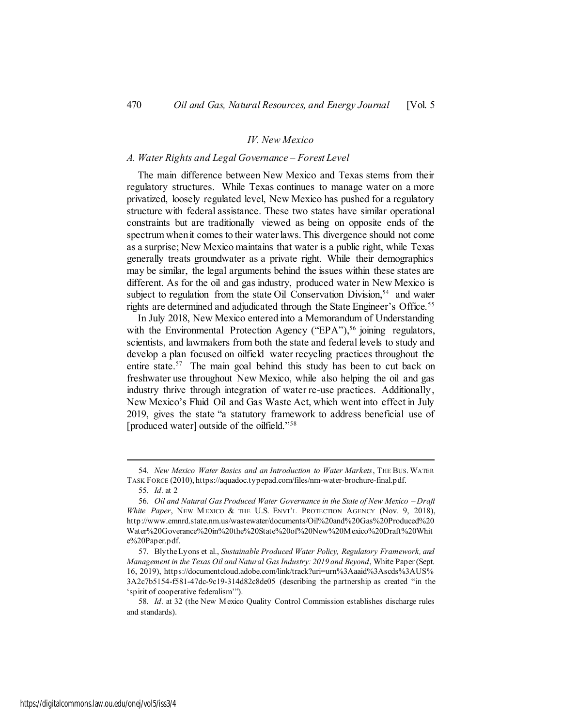#### *IV. New Mexico*

#### *A. Water Rights and Legal Governance – Forest Level*

The main difference between New Mexico and Texas stems from their regulatory structures. While Texas continues to manage water on a more privatized, loosely regulated level, New Mexico has pushed for a regulatory structure with federal assistance. These two states have similar operational constraints but are traditionally viewed as being on opposite ends of the spectrum when it comes to their water laws. This divergence should not come as a surprise; New Mexico maintains that water is a public right, while Texas generally treats groundwater as a private right. While their demographics may be similar, the legal arguments behind the issues within these states are different. As for the oil and gas industry, produced water in New Mexico is subject to regulation from the state Oil Conservation Division,<sup>54</sup> and water rights are determined and adjudicated through the State Engineer's Office.<sup>55</sup>

In July 2018, New Mexico entered into a Memorandum of Understanding with the Environmental Protection Agency ("EPA"),<sup>56</sup> joining regulators, scientists, and lawmakers from both the state and federal levels to study and develop a plan focused on oilfield water recycling practices throughout the entire state.<sup>57</sup> The main goal behind this study has been to cut back on freshwater use throughout New Mexico, while also helping the oil and gas industry thrive through integration of water re-use practices. Additionally, New Mexico's Fluid Oil and Gas Waste Act, which went into effect in July 2019, gives the state "a statutory framework to address beneficial use of [produced water] outside of the oilfield."<sup>58</sup>

<sup>54.</sup> *New Mexico Water Basics and an Introduction to Water Markets*, THE BUS. WATER TASK FORCE (2010), https://aquadoc.typepad.com/files/nm-water-brochure-final.pdf.

<sup>55.</sup> *Id*. at 2

<sup>56.</sup> *Oil and Natural Gas Produced Water Governance in the State of New Mexico – Draft White Paper*, NEW MEXICO & THE U.S. ENVT'L PROTECTION AGENCY (Nov. 9, 2018), http://www.emnrd.state.nm.us/wastewater/documents/Oil%20and%20Gas%20Produced%20 Water%20Goverance%20in%20the%20State%20of%20New%20Mexico%20Draft%20Whit e%20Paper.pdf.

<sup>57.</sup> Blythe Lyons et al., *Sustainable Produced Water Policy, Regulatory Framework, and Management in the Texas Oil and Natural Gas Industry: 2019 and Beyond*, White Paper (Sept. 16, 2019), https://documentcloud.adobe.com/link/track?uri=urn%3Aaaid%3Ascds%3AUS% 3A2c7b5154-f581-47dc-9c19-314d82c8de05 (describing the partnership as created "in the 'spirit of cooperative federalism'").

<sup>58.</sup> *Id*. at 32 (the New Mexico Quality Control Commission establishes discharge rules and standards).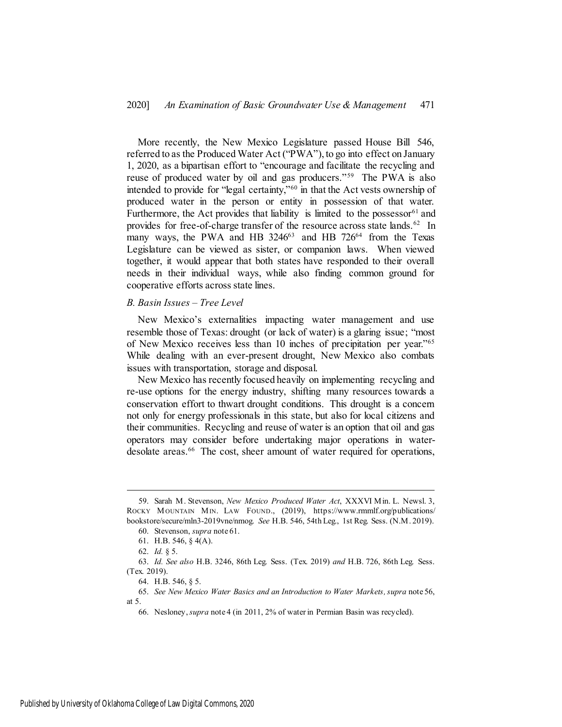More recently, the New Mexico Legislature passed House Bill 546, referred to as the Produced Water Act ("PWA"), to go into effect on January 1, 2020, as a bipartisan effort to "encourage and facilitate the recycling and reuse of produced water by oil and gas producers."<sup>59</sup> The PWA is also intended to provide for "legal certainty,"<sup>60</sup> in that the Act vests ownership of produced water in the person or entity in possession of that water. Furthermore, the Act provides that liability is limited to the possessor<sup>61</sup> and provides for free-of-charge transfer of the resource across state lands.<sup>62</sup> In many ways, the PWA and HB 3246<sup>63</sup> and HB 726<sup>64</sup> from the Texas Legislature can be viewed as sister, or companion laws. When viewed together, it would appear that both states have responded to their overall needs in their individual ways, while also finding common ground for cooperative efforts across state lines.

#### *B. Basin Issues – Tree Level*

New Mexico's externalities impacting water management and use resemble those of Texas: drought (or lack of water) is a glaring issue; "most of New Mexico receives less than 10 inches of precipitation per year."<sup>65</sup> While dealing with an ever-present drought, New Mexico also combats issues with transportation, storage and disposal.

New Mexico has recently focused heavily on implementing recycling and re-use options for the energy industry, shifting many resources towards a conservation effort to thwart drought conditions. This drought is a concern not only for energy professionals in this state, but also for local citizens and their communities. Recycling and reuse of water is an option that oil and gas operators may consider before undertaking major operations in waterdesolate areas.<sup>66</sup> The cost, sheer amount of water required for operations,

<sup>59.</sup> Sarah M. Stevenson, *New Mexico Produced Water Act*, XXXVI Min. L. Newsl. 3, ROCKY MOUNTAIN MIN. LAW FOUND., (2019), https://www.rmmlf.org/publications/ bookstore/secure/mln3-2019vne/nmog. *See* H.B. 546, 54th Leg., 1st Reg. Sess. (N.M. 2019).

<sup>60.</sup> Stevenson, *supra* note 61.

<sup>61.</sup> H.B. 546, § 4(A).

<sup>62.</sup> *Id.* § 5.

<sup>63.</sup> *Id. See also* H.B. 3246, 86th Leg. Sess. (Tex. 2019) *and* H.B. 726, 86th Leg. Sess. (Tex. 2019).

<sup>64.</sup> H.B. 546, § 5.

<sup>65.</sup> *See New Mexico Water Basics and an Introduction to Water Markets, supra* note 56, at 5.

<sup>66.</sup> Nesloney, *supra* note 4 (in 2011, 2% of water in Permian Basin was recycled).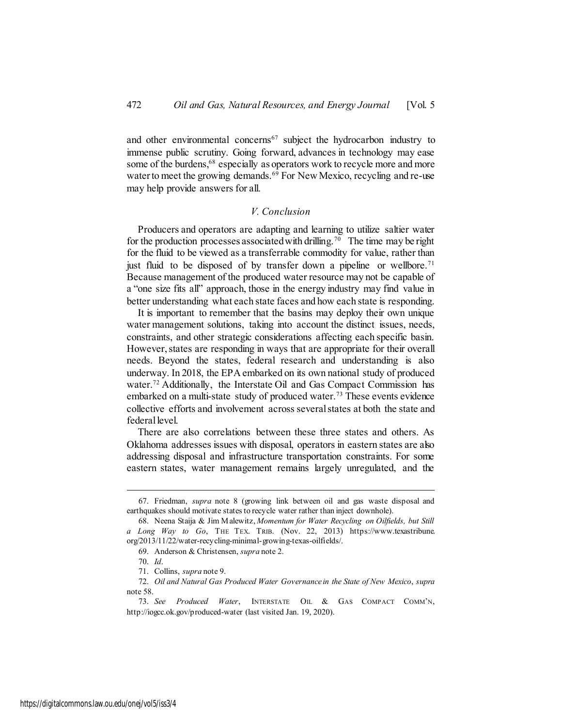and other environmental concerns<sup>67</sup> subject the hydrocarbon industry to immense public scrutiny. Going forward, advances in technology may ease some of the burdens,<sup>68</sup> especially as operators work to recycle more and more water to meet the growing demands.<sup>69</sup> For New Mexico, recycling and re-use may help provide answers for all.

### *V. Conclusion*

Producers and operators are adapting and learning to utilize saltier water for the production processes associated with drilling.<sup>70</sup> The time may be right for the fluid to be viewed as a transferrable commodity for value, rather than just fluid to be disposed of by transfer down a pipeline or wellbore.<sup>71</sup> Because management of the produced water resource may not be capable of a "one size fits all" approach, those in the energy industry may find value in better understanding what each state faces and how each state is responding.

It is important to remember that the basins may deploy their own unique water management solutions, taking into account the distinct issues, needs, constraints, and other strategic considerations affecting each specific basin. However, states are responding in ways that are appropriate for their overall needs. Beyond the states, federal research and understanding is also underway. In 2018, the EPA embarked on its own national study of produced water.<sup>72</sup> Additionally, the Interstate Oil and Gas Compact Commission has embarked on a multi-state study of produced water.<sup>73</sup> These events evidence collective efforts and involvement across several states at both the state and federal level.

There are also correlations between these three states and others. As Oklahoma addresses issues with disposal, operators in eastern states are also addressing disposal and infrastructure transportation constraints. For some eastern states, water management remains largely unregulated, and the

<sup>67.</sup> Friedman, *supra* note 8 (growing link between oil and gas waste disposal and earthquakes should motivate states to recycle water rather than inject downhole).

<sup>68.</sup> Neena Staija & Jim Malewitz, *Momentum for Water Recycling on Oilfields, but Still a Long Way to Go*, THE TEX. TRIB. (Nov. 22, 2013) https://www.texastribune. org/2013/11/22/water-recycling-minimal-growing-texas-oilfields/.

<sup>69.</sup> Anderson & Christensen, *supra* note 2.

<sup>70.</sup> *Id*.

<sup>71.</sup> Collins, *supra* note 9.

<sup>72.</sup> *Oil and Natural Gas Produced Water Governance in the State of New Mexico*, *supra* note 58.

<sup>73.</sup> *See Produced Water*, INTERSTATE OIL & GAS COMPACT COMM'N, <http://iogcc.ok.gov/produced-water> (last visited Jan. 19, 2020).